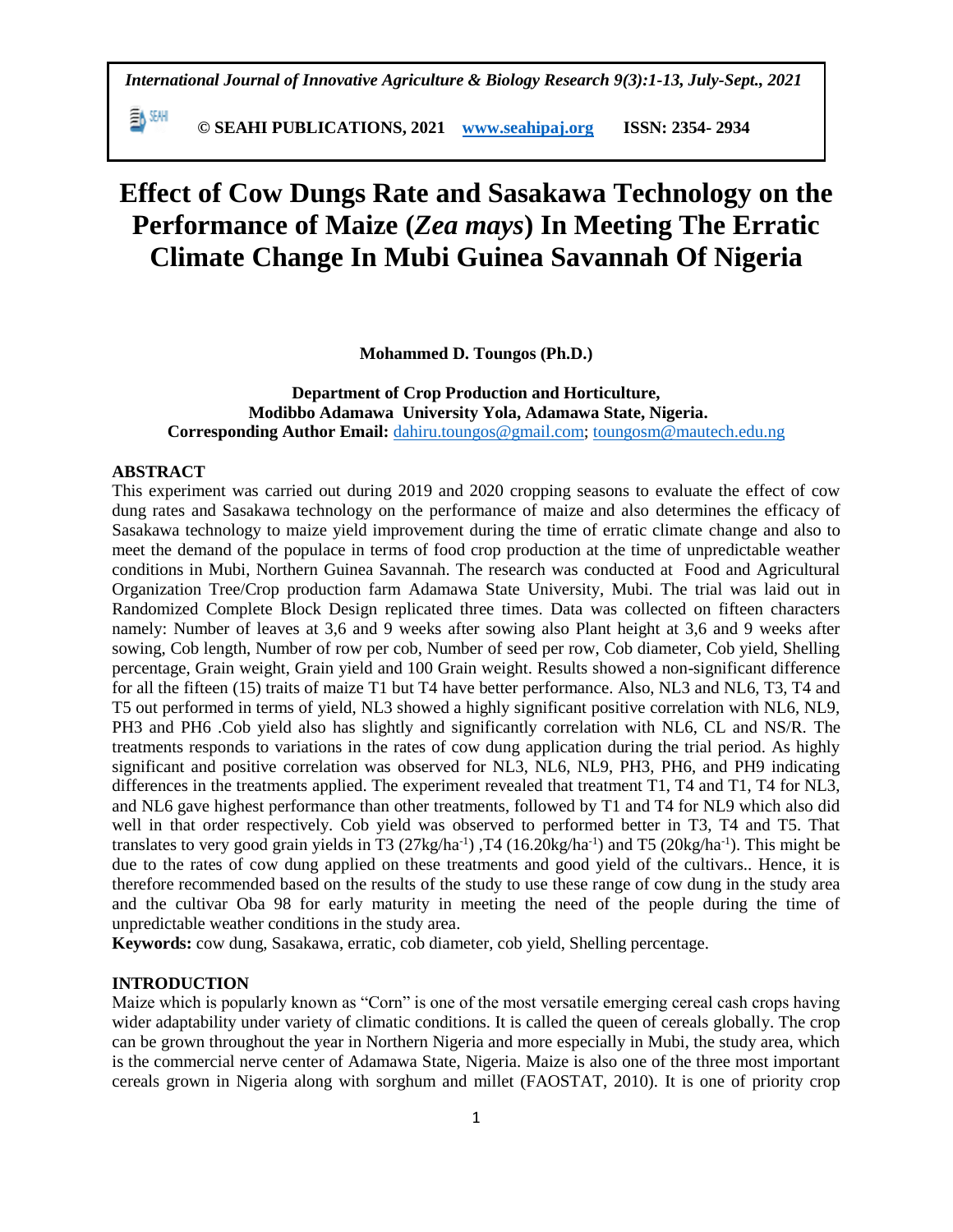**© SEAHI PUBLICATIONS, 2021 [www.seahipaj.org](http://www.seahipaj.org/) ISSN: 2354- 2934**

# **Effect of Cow Dungs Rate and Sasakawa Technology on the Performance of Maize (***Zea mays***) In Meeting The Erratic Climate Change In Mubi Guinea Savannah Of Nigeria**

**Mohammed D. Toungos (Ph.D.)**

# **Department of Crop Production and Horticulture, Modibbo Adamawa University Yola, Adamawa State, Nigeria. Corresponding Author Email:** [dahiru.toungos@gmail.com;](mailto:dahiru.toungos@gmail.com) [toungosm@mautech.edu.ng](mailto:toungosm@mautech.edu.ng)

# **ABSTRACT**

動酬

This experiment was carried out during 2019 and 2020 cropping seasons to evaluate the effect of cow dung rates and Sasakawa technology on the performance of maize and also determines the efficacy of Sasakawa technology to maize yield improvement during the time of erratic climate change and also to meet the demand of the populace in terms of food crop production at the time of unpredictable weather conditions in Mubi, Northern Guinea Savannah. The research was conducted at Food and Agricultural Organization Tree/Crop production farm Adamawa State University, Mubi. The trial was laid out in Randomized Complete Block Design replicated three times. Data was collected on fifteen characters namely: Number of leaves at 3,6 and 9 weeks after sowing also Plant height at 3,6 and 9 weeks after sowing, Cob length, Number of row per cob, Number of seed per row, Cob diameter, Cob yield, Shelling percentage, Grain weight, Grain yield and 100 Grain weight. Results showed a non-significant difference for all the fifteen (15) traits of maize T1 but T4 have better performance. Also, NL3 and NL6, T3, T4 and T5 out performed in terms of yield, NL3 showed a highly significant positive correlation with NL6, NL9, PH3 and PH6 .Cob yield also has slightly and significantly correlation with NL6, CL and NS/R. The treatments responds to variations in the rates of cow dung application during the trial period. As highly significant and positive correlation was observed for NL3, NL6, NL9, PH3, PH6, and PH9 indicating differences in the treatments applied. The experiment revealed that treatment T1, T4 and T1, T4 for NL3, and NL6 gave highest performance than other treatments, followed by T1 and T4 for NL9 which also did well in that order respectively. Cob yield was observed to performed better in T3, T4 and T5. That translates to very good grain yields in T3 (27kg/ha<sup>-1</sup>), T4 (16.20kg/ha<sup>-1</sup>) and T5 (20kg/ha<sup>-1</sup>). This might be due to the rates of cow dung applied on these treatments and good yield of the cultivars.. Hence, it is therefore recommended based on the results of the study to use these range of cow dung in the study area and the cultivar Oba 98 for early maturity in meeting the need of the people during the time of unpredictable weather conditions in the study area.

**Keywords:** cow dung, Sasakawa, erratic, cob diameter, cob yield, Shelling percentage.

# **INTRODUCTION**

Maize which is popularly known as "Corn" is one of the most versatile emerging cereal cash crops having wider adaptability under variety of climatic conditions. It is called the queen of cereals globally. The crop can be grown throughout the year in Northern Nigeria and more especially in Mubi, the study area, which is the commercial nerve center of Adamawa State, Nigeria. Maize is also one of the three most important cereals grown in Nigeria along with sorghum and millet (FAOSTAT, 2010). It is one of priority crop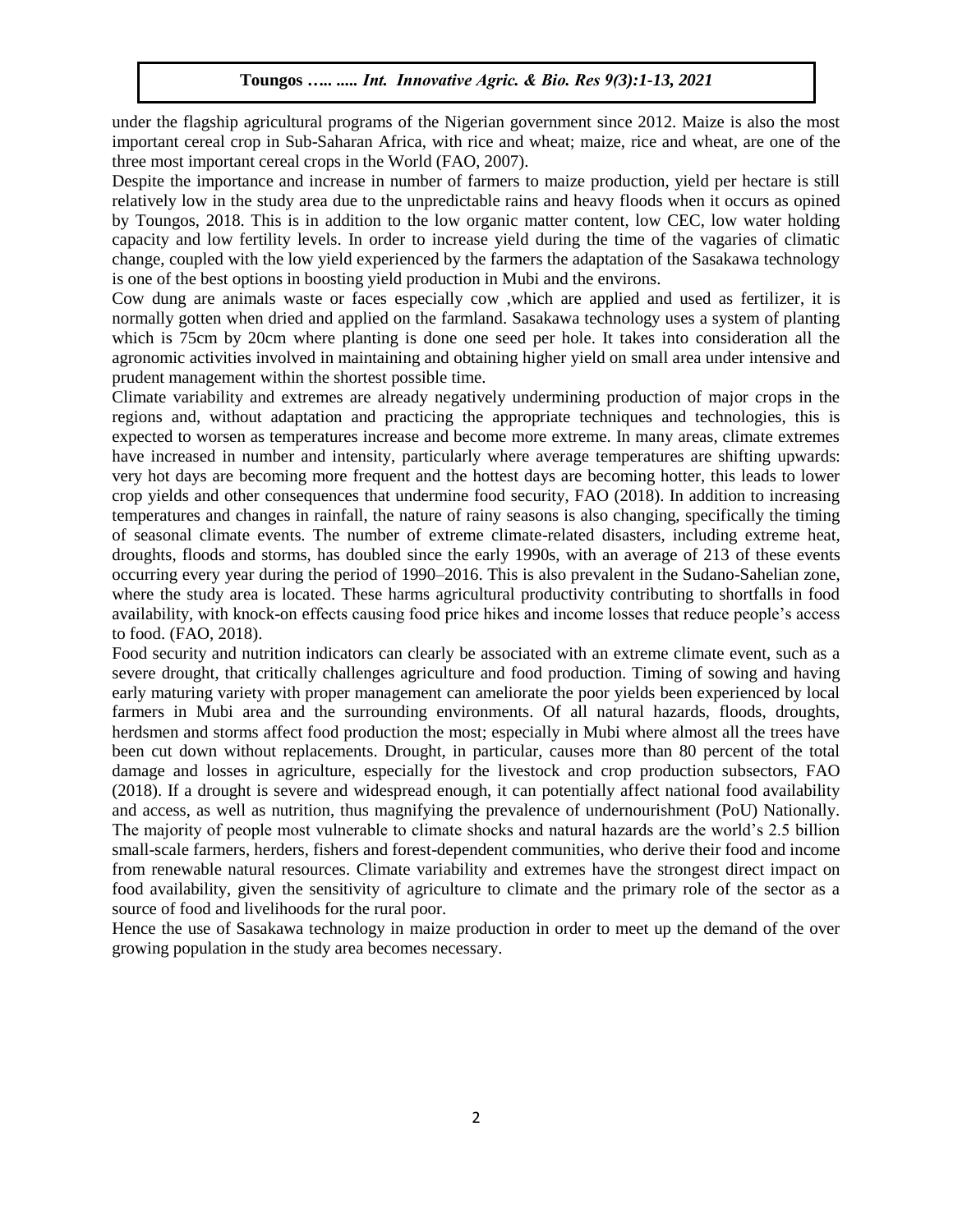under the flagship agricultural programs of the Nigerian government since 2012. Maize is also the most important cereal crop in Sub-Saharan Africa, with rice and wheat; maize, rice and wheat, are one of the three most important cereal crops in the World (FAO, 2007).

Despite the importance and increase in number of farmers to maize production, yield per hectare is still relatively low in the study area due to the unpredictable rains and heavy floods when it occurs as opined by Toungos, 2018. This is in addition to the low organic matter content, low CEC, low water holding capacity and low fertility levels. In order to increase yield during the time of the vagaries of climatic change, coupled with the low yield experienced by the farmers the adaptation of the Sasakawa technology is one of the best options in boosting yield production in Mubi and the environs.

Cow dung are animals waste or faces especially cow ,which are applied and used as fertilizer, it is normally gotten when dried and applied on the farmland. Sasakawa technology uses a system of planting which is 75cm by 20cm where planting is done one seed per hole. It takes into consideration all the agronomic activities involved in maintaining and obtaining higher yield on small area under intensive and prudent management within the shortest possible time.

Climate variability and extremes are already negatively undermining production of major crops in the regions and, without adaptation and practicing the appropriate techniques and technologies, this is expected to worsen as temperatures increase and become more extreme. In many areas, climate extremes have increased in number and intensity, particularly where average temperatures are shifting upwards: very hot days are becoming more frequent and the hottest days are becoming hotter, this leads to lower crop yields and other consequences that undermine food security, FAO (2018). In addition to increasing temperatures and changes in rainfall, the nature of rainy seasons is also changing, specifically the timing of seasonal climate events. The number of extreme climate-related disasters, including extreme heat, droughts, floods and storms, has doubled since the early 1990s, with an average of 213 of these events occurring every year during the period of 1990–2016. This is also prevalent in the Sudano-Sahelian zone, where the study area is located. These harms agricultural productivity contributing to shortfalls in food availability, with knock-on effects causing food price hikes and income losses that reduce people's access to food. (FAO, 2018).

Food security and nutrition indicators can clearly be associated with an extreme climate event, such as a severe drought, that critically challenges agriculture and food production. Timing of sowing and having early maturing variety with proper management can ameliorate the poor yields been experienced by local farmers in Mubi area and the surrounding environments. Of all natural hazards, floods, droughts, herdsmen and storms affect food production the most; especially in Mubi where almost all the trees have been cut down without replacements. Drought, in particular, causes more than 80 percent of the total damage and losses in agriculture, especially for the livestock and crop production subsectors, FAO (2018). If a drought is severe and widespread enough, it can potentially affect national food availability and access, as well as nutrition, thus magnifying the prevalence of undernourishment (PoU) Nationally. The majority of people most vulnerable to climate shocks and natural hazards are the world's 2.5 billion small-scale farmers, herders, fishers and forest-dependent communities, who derive their food and income from renewable natural resources. Climate variability and extremes have the strongest direct impact on food availability, given the sensitivity of agriculture to climate and the primary role of the sector as a source of food and livelihoods for the rural poor.

Hence the use of Sasakawa technology in maize production in order to meet up the demand of the over growing population in the study area becomes necessary.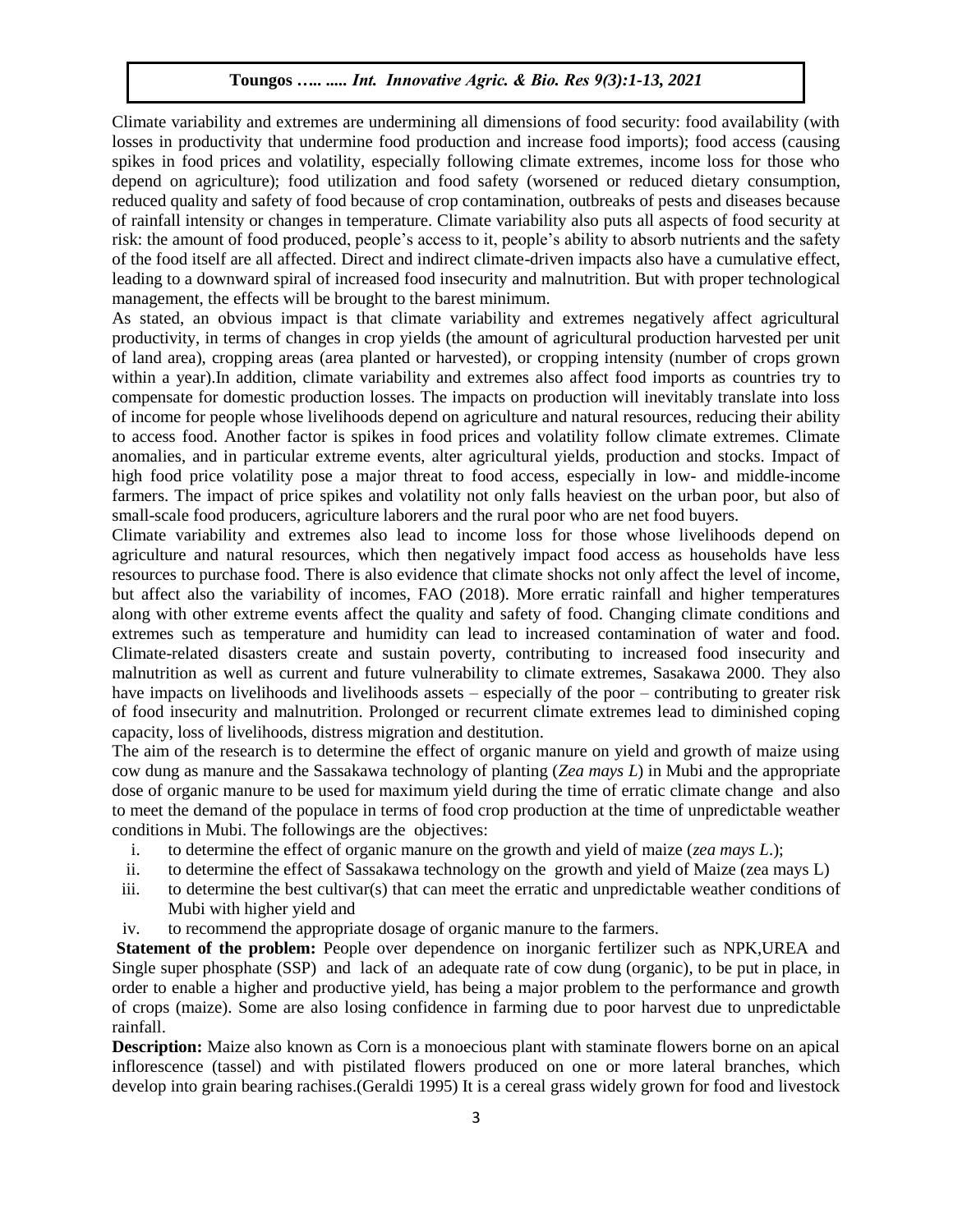Climate variability and extremes are undermining all dimensions of food security: food availability (with losses in productivity that undermine food production and increase food imports); food access (causing spikes in food prices and volatility, especially following climate extremes, income loss for those who depend on agriculture); food utilization and food safety (worsened or reduced dietary consumption, reduced quality and safety of food because of crop contamination, outbreaks of pests and diseases because of rainfall intensity or changes in temperature. Climate variability also puts all aspects of food security at risk: the amount of food produced, people's access to it, people's ability to absorb nutrients and the safety of the food itself are all affected. Direct and indirect climate-driven impacts also have a cumulative effect, leading to a downward spiral of increased food insecurity and malnutrition. But with proper technological management, the effects will be brought to the barest minimum.

As stated, an obvious impact is that climate variability and extremes negatively affect agricultural productivity, in terms of changes in crop yields (the amount of agricultural production harvested per unit of land area), cropping areas (area planted or harvested), or cropping intensity (number of crops grown within a year).In addition, climate variability and extremes also affect food imports as countries try to compensate for domestic production losses. The impacts on production will inevitably translate into loss of income for people whose livelihoods depend on agriculture and natural resources, reducing their ability to access food. Another factor is spikes in food prices and volatility follow climate extremes. Climate anomalies, and in particular extreme events, alter agricultural yields, production and stocks. Impact of high food price volatility pose a major threat to food access, especially in low- and middle-income farmers. The impact of price spikes and volatility not only falls heaviest on the urban poor, but also of small-scale food producers, agriculture laborers and the rural poor who are net food buyers.

Climate variability and extremes also lead to income loss for those whose livelihoods depend on agriculture and natural resources, which then negatively impact food access as households have less resources to purchase food. There is also evidence that climate shocks not only affect the level of income, but affect also the variability of incomes, FAO (2018). More erratic rainfall and higher temperatures along with other extreme events affect the quality and safety of food. Changing climate conditions and extremes such as temperature and humidity can lead to increased contamination of water and food. Climate-related disasters create and sustain poverty, contributing to increased food insecurity and malnutrition as well as current and future vulnerability to climate extremes, Sasakawa 2000. They also have impacts on livelihoods and livelihoods assets – especially of the poor – contributing to greater risk of food insecurity and malnutrition. Prolonged or recurrent climate extremes lead to diminished coping capacity, loss of livelihoods, distress migration and destitution.

The aim of the research is to determine the effect of organic manure on yield and growth of maize using cow dung as manure and the Sassakawa technology of planting (*Zea mays L*) in Mubi and the appropriate dose of organic manure to be used for maximum yield during the time of erratic climate change and also to meet the demand of the populace in terms of food crop production at the time of unpredictable weather conditions in Mubi. The followings are the objectives:

- i. to determine the effect of organic manure on the growth and yield of maize (*zea mays L*.);
- ii. to determine the effect of Sassakawa technology on the growth and yield of Maize (zea mays L)
- iii. to determine the best cultivar(s) that can meet the erratic and unpredictable weather conditions of Mubi with higher yield and
- iv. to recommend the appropriate dosage of organic manure to the farmers.

**Statement of the problem:** People over dependence on inorganic fertilizer such as NPK,UREA and Single super phosphate (SSP) and lack of an adequate rate of cow dung (organic), to be put in place, in order to enable a higher and productive yield, has being a major problem to the performance and growth of crops (maize). Some are also losing confidence in farming due to poor harvest due to unpredictable rainfall.

**Description:** Maize also known as Corn is a monoecious plant with staminate flowers borne on an apical inflorescence (tassel) and with pistilated flowers produced on one or more lateral branches, which develop into grain bearing rachises.(Geraldi 1995) It is a cereal grass widely grown for food and livestock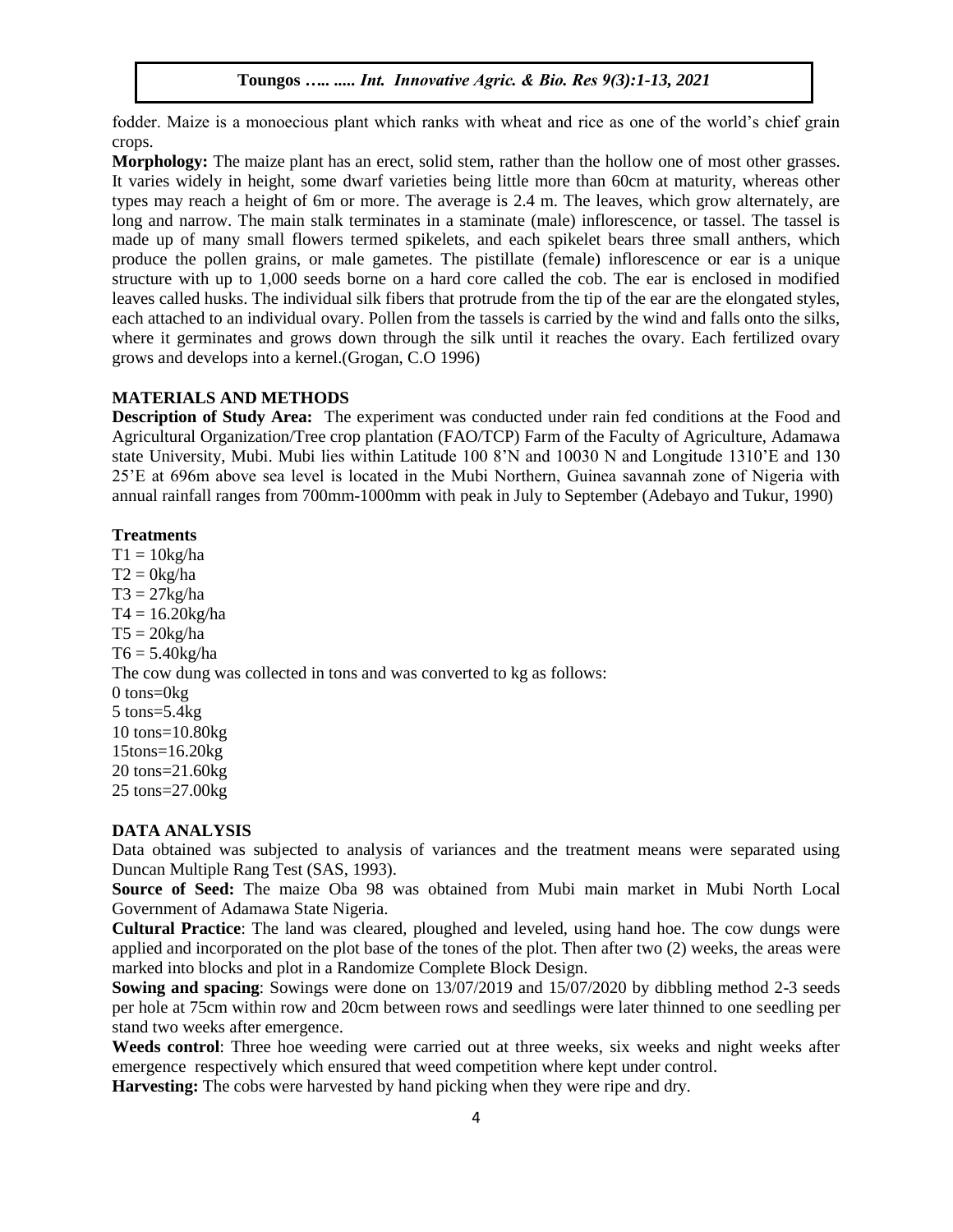fodder. Maize is a monoecious plant which ranks with wheat and rice as one of the world's chief grain crops.

**Morphology:** The maize plant has an erect, solid stem, rather than the hollow one of most other grasses. It varies widely in height, some dwarf varieties being little more than 60cm at maturity, whereas other types may reach a height of 6m or more. The average is 2.4 m. The leaves, which grow alternately, are long and narrow. The main stalk terminates in a staminate (male) inflorescence, or tassel. The tassel is made up of many small flowers termed spikelets, and each spikelet bears three small anthers, which produce the pollen grains, or male gametes. The pistillate (female) inflorescence or ear is a unique structure with up to 1,000 seeds borne on a hard core called the cob. The ear is enclosed in modified leaves called husks. The individual silk fibers that protrude from the tip of the ear are the elongated styles, each attached to an individual ovary. Pollen from the tassels is carried by the wind and falls onto the silks, where it germinates and grows down through the silk until it reaches the ovary. Each fertilized ovary grows and develops into a kernel.(Grogan, C.O 1996)

#### **MATERIALS AND METHODS**

**Description of Study Area:** The experiment was conducted under rain fed conditions at the Food and Agricultural Organization/Tree crop plantation (FAO/TCP) Farm of the Faculty of Agriculture, Adamawa state University, Mubi. Mubi lies within Latitude 100 8'N and 10030 N and Longitude 1310'E and 130 25'E at 696m above sea level is located in the Mubi Northern, Guinea savannah zone of Nigeria with annual rainfall ranges from 700mm-1000mm with peak in July to September (Adebayo and Tukur, 1990)

## **Treatments**

 $T1 = 10kg/ha$  $T2 = 0$ kg/ha  $T3 = 27$ kg/ha  $T4 = 16.20$ kg/ha  $T5 = 20$ kg/ha  $T6 = 5.40$ kg/ha The cow dung was collected in tons and was converted to kg as follows: 0 tons=0kg 5 tons=5.4kg 10 tons=10.80kg 15tons=16.20kg 20 tons=21.60kg 25 tons=27.00kg

# **DATA ANALYSIS**

Data obtained was subjected to analysis of variances and the treatment means were separated using Duncan Multiple Rang Test (SAS, 1993).

**Source of Seed:** The maize Oba 98 was obtained from Mubi main market in Mubi North Local Government of Adamawa State Nigeria.

**Cultural Practice**: The land was cleared, ploughed and leveled, using hand hoe. The cow dungs were applied and incorporated on the plot base of the tones of the plot. Then after two (2) weeks, the areas were marked into blocks and plot in a Randomize Complete Block Design.

**Sowing and spacing**: Sowings were done on 13/07/2019 and 15/07/2020 by dibbling method 2-3 seeds per hole at 75cm within row and 20cm between rows and seedlings were later thinned to one seedling per stand two weeks after emergence.

**Weeds control**: Three hoe weeding were carried out at three weeks, six weeks and night weeks after emergence respectively which ensured that weed competition where kept under control.

**Harvesting:** The cobs were harvested by hand picking when they were ripe and dry.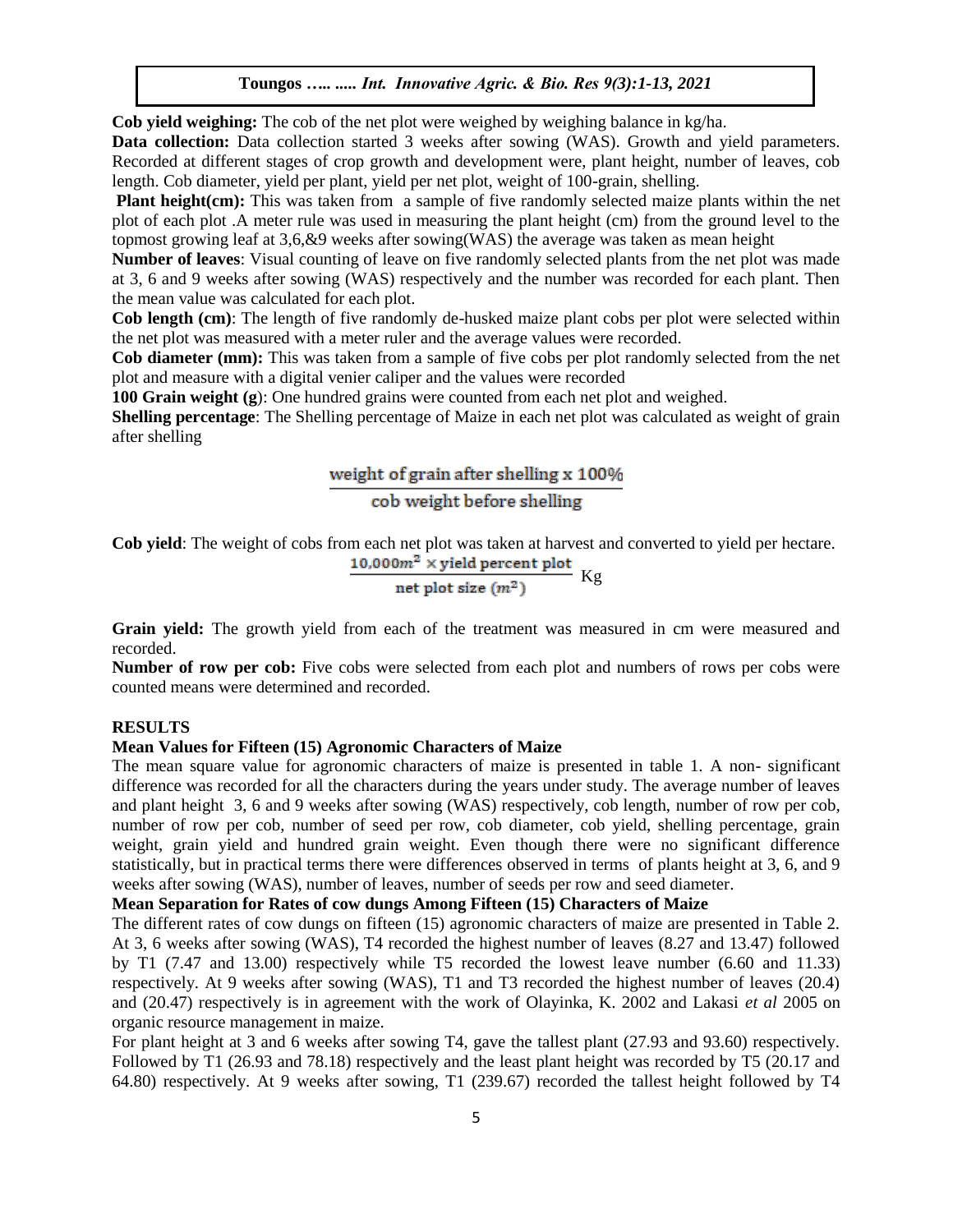**Cob yield weighing:** The cob of the net plot were weighed by weighing balance in kg/ha.

**Data collection:** Data collection started 3 weeks after sowing (WAS). Growth and yield parameters. Recorded at different stages of crop growth and development were, plant height, number of leaves, cob length. Cob diameter, yield per plant, yield per net plot, weight of 100-grain, shelling.

**Plant height(cm):** This was taken from a sample of five randomly selected maize plants within the net plot of each plot .A meter rule was used in measuring the plant height (cm) from the ground level to the topmost growing leaf at 3,6,&9 weeks after sowing(WAS) the average was taken as mean height

**Number of leaves**: Visual counting of leave on five randomly selected plants from the net plot was made at 3, 6 and 9 weeks after sowing (WAS) respectively and the number was recorded for each plant. Then the mean value was calculated for each plot.

**Cob length (cm)**: The length of five randomly de-husked maize plant cobs per plot were selected within the net plot was measured with a meter ruler and the average values were recorded.

**Cob diameter (mm):** This was taken from a sample of five cobs per plot randomly selected from the net plot and measure with a digital venier caliper and the values were recorded

**100 Grain weight (g**): One hundred grains were counted from each net plot and weighed.

**Shelling percentage**: The Shelling percentage of Maize in each net plot was calculated as weight of grain after shelling

# weight of grain after shelling x 100%

cob weight before shelling

**Cob yield**: The weight of cobs from each net plot was taken at harvest and converted to yield per hectare.<br>10,000 $m^2$  × yield percent plot

$$
\frac{1,000m^2 \times \text{yield percent plot}}{\text{net plot size } (m^2)} \text{ Kg}
$$

**Grain yield:** The growth yield from each of the treatment was measured in cm were measured and recorded.

**Number of row per cob:** Five cobs were selected from each plot and numbers of rows per cobs were counted means were determined and recorded.

### **RESULTS**

#### **Mean Values for Fifteen (15) Agronomic Characters of Maize**

The mean square value for agronomic characters of maize is presented in table 1. A non- significant difference was recorded for all the characters during the years under study. The average number of leaves and plant height 3, 6 and 9 weeks after sowing (WAS) respectively, cob length, number of row per cob, number of row per cob, number of seed per row, cob diameter, cob yield, shelling percentage, grain weight, grain yield and hundred grain weight. Even though there were no significant difference statistically, but in practical terms there were differences observed in terms of plants height at 3, 6, and 9 weeks after sowing (WAS), number of leaves, number of seeds per row and seed diameter.

#### **Mean Separation for Rates of cow dungs Among Fifteen (15) Characters of Maize**

The different rates of cow dungs on fifteen (15) agronomic characters of maize are presented in Table 2. At 3, 6 weeks after sowing (WAS), T4 recorded the highest number of leaves (8.27 and 13.47) followed by T1 (7.47 and 13.00) respectively while T5 recorded the lowest leave number (6.60 and 11.33) respectively. At 9 weeks after sowing (WAS), T1 and T3 recorded the highest number of leaves (20.4) and (20.47) respectively is in agreement with the work of Olayinka, K. 2002 and Lakasi *et al* 2005 on organic resource management in maize.

For plant height at 3 and 6 weeks after sowing T4, gave the tallest plant (27.93 and 93.60) respectively. Followed by T1 (26.93 and 78.18) respectively and the least plant height was recorded by T5 (20.17 and 64.80) respectively. At 9 weeks after sowing, T1 (239.67) recorded the tallest height followed by T4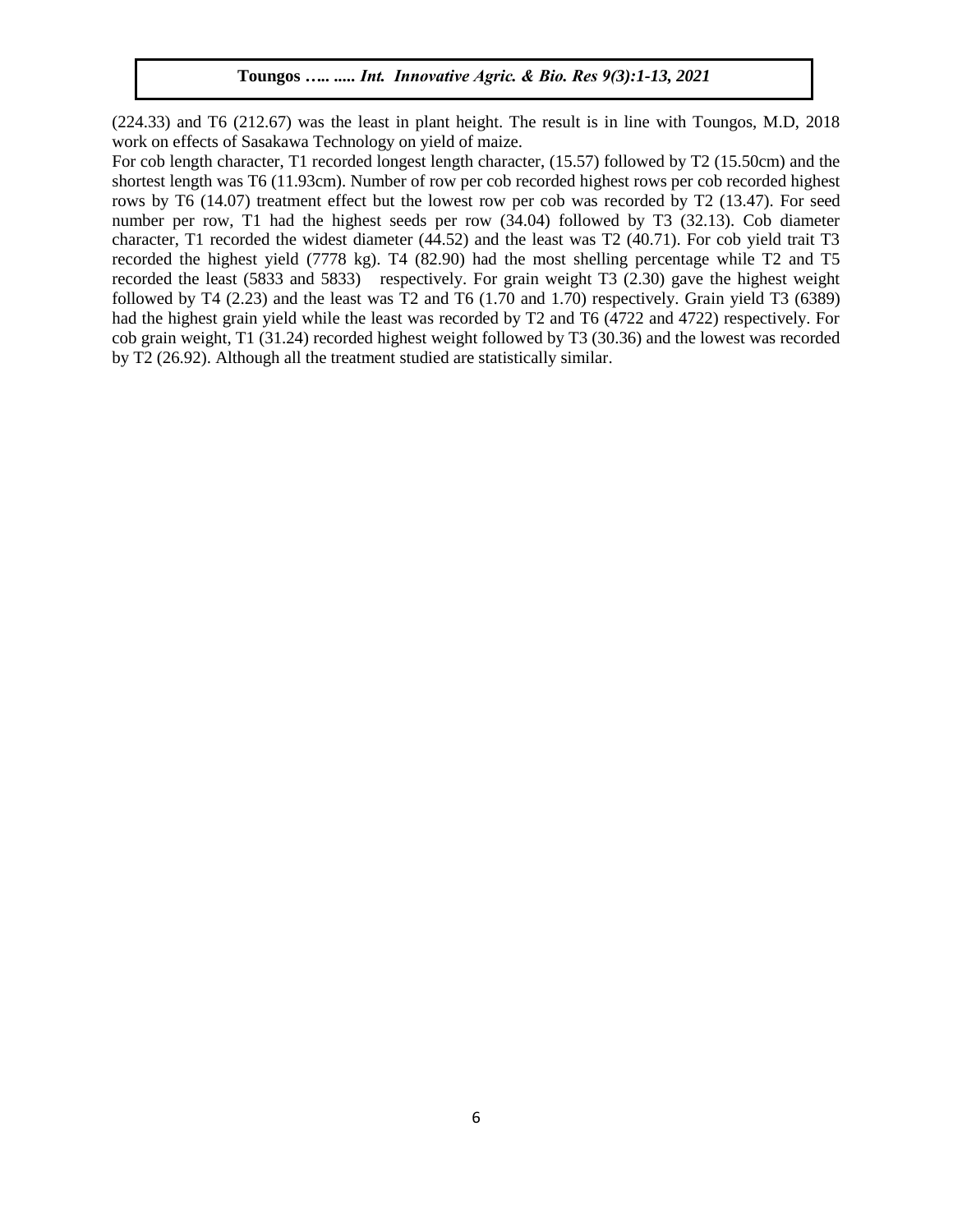(224.33) and T6 (212.67) was the least in plant height. The result is in line with Toungos, M.D, 2018 work on effects of Sasakawa Technology on yield of maize.

For cob length character, T1 recorded longest length character, (15.57) followed by T2 (15.50cm) and the shortest length was T6 (11.93cm). Number of row per cob recorded highest rows per cob recorded highest rows by T6 (14.07) treatment effect but the lowest row per cob was recorded by T2 (13.47). For seed number per row, T1 had the highest seeds per row (34.04) followed by T3 (32.13). Cob diameter character, T1 recorded the widest diameter (44.52) and the least was T2 (40.71). For cob yield trait T3 recorded the highest yield (7778 kg). T4 (82.90) had the most shelling percentage while T2 and T5 recorded the least (5833 and 5833) respectively. For grain weight T3 (2.30) gave the highest weight followed by T4 (2.23) and the least was T2 and T6 (1.70 and 1.70) respectively. Grain yield T3 (6389) had the highest grain yield while the least was recorded by T2 and T6 (4722 and 4722) respectively. For cob grain weight, T1 (31.24) recorded highest weight followed by T3 (30.36) and the lowest was recorded by T2 (26.92). Although all the treatment studied are statistically similar.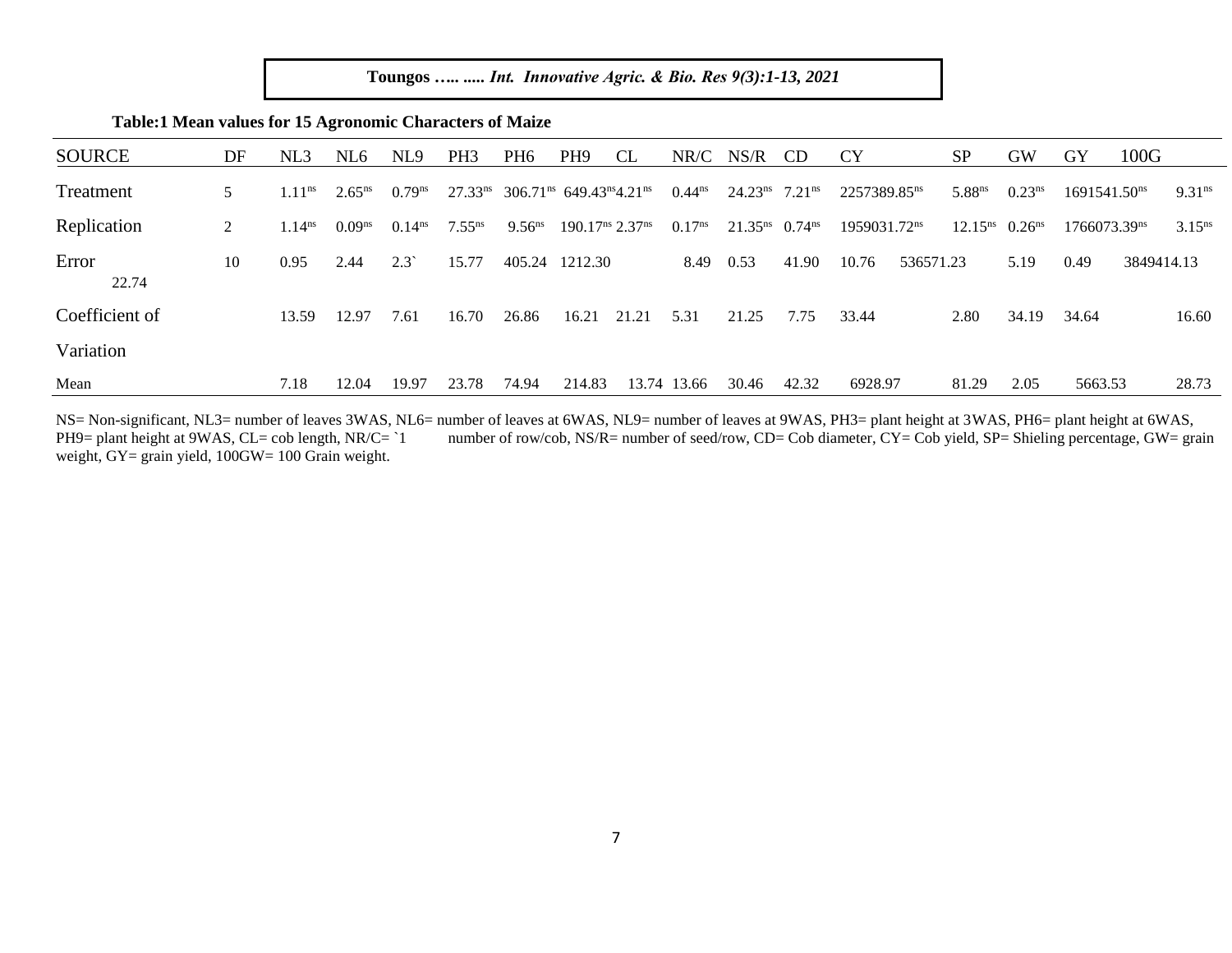| Toungos   Int. Innovative Agric. & Bio. Res 9(3):1-13, 2021 |  |  |  |
|-------------------------------------------------------------|--|--|--|
|                                                             |  |  |  |

| <b>SOURCE</b>  | DF | NL3                | NL6         | NL <sub>9</sub>    | PH <sub>3</sub> | PH <sub>6</sub> | PH <sub>9</sub>                                              | <b>CL</b> | NR/C               | NS/R                         | <b>CD</b>          | <b>CY</b>                | <b>SP</b>           | <b>GW</b>          | GY                       | 100G       |                    |
|----------------|----|--------------------|-------------|--------------------|-----------------|-----------------|--------------------------------------------------------------|-----------|--------------------|------------------------------|--------------------|--------------------------|---------------------|--------------------|--------------------------|------------|--------------------|
| Treatment      | 5  | 1.11 <sup>ns</sup> | $2.65^{ns}$ | $0.79^{ns}$        | $27.33^{ns}$    |                 | $306.71^{\text{ns}}$ 649.43 <sup>ns</sup> 4.21 <sup>ns</sup> |           | $0.44^{ns}$        | $24.23ns$ 7.21 <sup>ns</sup> |                    | 2257389.85 <sup>ns</sup> | 5.88 <sup>ns</sup>  | 0.23 <sup>ns</sup> | 1691541.50 <sup>ns</sup> |            | 9.31 <sup>ns</sup> |
| Replication    | 2  | 1.14 <sup>ns</sup> | $0.09^{ns}$ | 0.14 <sup>ns</sup> | $7.55^{ns}$     | $9.56^{ns}$     | 190.17 <sup>ns</sup> 2.37 <sup>ns</sup>                      |           | 0.17 <sup>ns</sup> | $21.35^{\text{ns}}$          | $0.74^{\text{ns}}$ | 1959031.72 <sup>ns</sup> | 12.15 <sup>ns</sup> | 0.26 <sup>ns</sup> | 1766073.39 <sup>ns</sup> |            | $3.15^{ns}$        |
| Error<br>22.74 | 10 | 0.95               | 2.44        | $2.3^{\circ}$      | 15.77           | 405.24          | 1212.30                                                      |           | 8.49               | 0.53                         | 41.90              | 10.76<br>536571.23       |                     | 5.19               | 0.49                     | 3849414.13 |                    |
| Coefficient of |    | 13.59              | 12.97       | 7.61               | 16.70           | 26.86           | 16.21                                                        | 21.21     | 5.31               | 21.25                        | 7.75               | 33.44                    | 2.80                | 34.19              | 34.64                    |            | 16.60              |
| Variation      |    |                    |             |                    |                 |                 |                                                              |           |                    |                              |                    |                          |                     |                    |                          |            |                    |
| Mean           |    | 7.18               | 12.04       | 19.97              | 23.78           | 74.94           | 214.83                                                       |           | 13.74 13.66        | 30.46                        | 42.32              | 6928.97                  | 81.29               | 2.05               | 5663.53                  |            | 28.73              |

**Table:1 Mean values for 15 Agronomic Characters of Maize** 

NS= Non-significant, NL3= number of leaves 3WAS, NL6= number of leaves at 6WAS, NL9= number of leaves at 9WAS, PH3= plant height at 3WAS, PH6= plant height at 6WAS, number of row/cob, NS/R= number of seed/row, CD= Cob diameter, CY= Cob yield, SP= Shieling percentage, GW= grain PH9= plant height at 9WAS, CL= cob length, NR/C= `1 weight, GY= grain yield, 100GW= 100 Grain weight.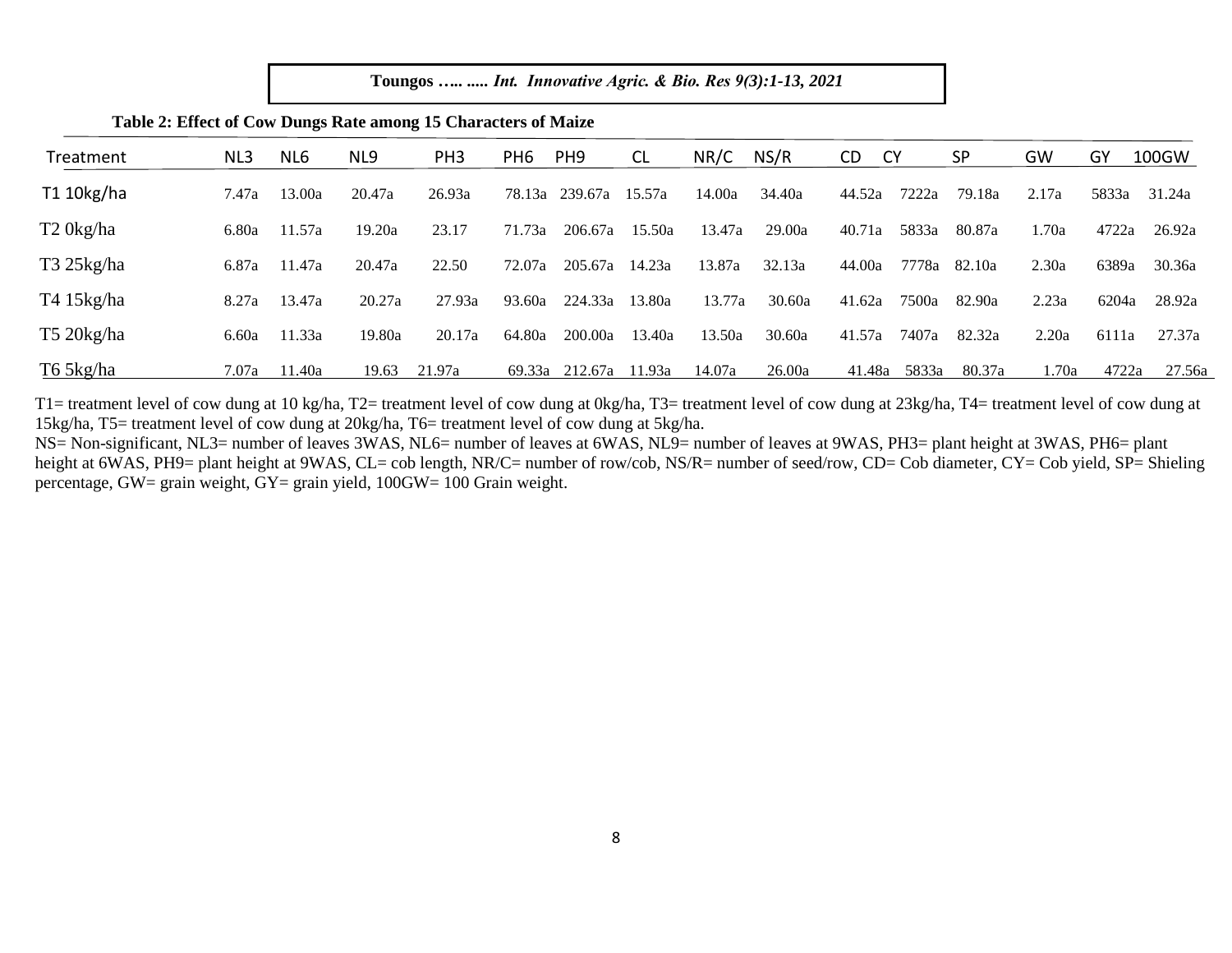| Treatment             | NL3   | NL6    | NL9    | PH <sub>3</sub> | PH <sub>6</sub> | PH <sub>9</sub> | <b>CL</b> | NR/C   | NS/R   | <b>CY</b><br>CD | <b>SP</b> | GW    | GY    | 100GW  |
|-----------------------|-------|--------|--------|-----------------|-----------------|-----------------|-----------|--------|--------|-----------------|-----------|-------|-------|--------|
| T1 10kg/ha            | 7.47a | 13.00a | 20.47a | 26.93a          | 78.13a          | 239.67a         | 15.57a    | 14.00a | 34.40a | 44.52a<br>7222a | 79.18a    | 2.17a | 5833a | 31.24a |
| T <sub>2</sub> 0kg/ha | 6.80a | 11.57a | 19.20a | 23.17           | 71.73a          | 206.67a         | 15.50a    | 13.47a | 29.00a | 40.71a<br>5833a | 80.87a    | 1.70a | 4722a | 26.92a |
| $T3$ 25kg/ha          | 6.87a | 11.47a | 20.47a | 22.50           | 72.07a          | 205.67a         | 14.23a    | 13.87a | 32.13a | 44.00a<br>7778a | 82.10a    | 2.30a | 6389a | 30.36a |
| T415kg/ha             | 8.27a | 13.47a | 20.27a | 27.93a          | 93.60a          | 224.33a         | 13.80a    | 13.77a | 30.60a | 7500a<br>41.62a | 82.90a    | 2.23a | 6204a | 28.92a |
| $T520$ kg/ha          | 6.60a | 11.33a | 19.80a | 20.17a          | 64.80a          | 200.00a         | 13.40a    | 13.50a | 30.60a | 41.57a<br>7407a | 82.32a    | 2.20a | 6111a | 27.37a |
| T6 5kg/ha             | 7.07a | 11.40a | 19.63  | 21.97a          | 69.33a          | 212.67a         | 11.93a    | 14.07a | 26.00a | 41.48a<br>5833a | 80.37a    | 1.70a | 4722a | 27.56a |

# **Table 2: Effect of Cow Dungs Rate among 15 Characters of Maize**

T1= treatment level of cow dung at 10 kg/ha, T2= treatment level of cow dung at 0kg/ha, T3= treatment level of cow dung at 0.8 kg/ha, T4= treatment level of cow dung at 10 kg/ha, T4= treatment level of cow dung at 15kg/ha, T5= treatment level of cow dung at 20kg/ha, T6= treatment level of cow dung at 5kg/ha.

NS= Non-significant, NL3= number of leaves 3WAS, NL6= number of leaves at 6WAS, NL9= number of leaves at 9WAS, PH3= plant height at 3WAS, PH6= plant height at 6WAS, PH9= plant height at 9WAS, CL= cob length, NR/C= number of row/cob, NS/R= number of seed/row, CD= Cob diameter, CY= Cob yield, SP= Shieling percentage, GW= grain weight, GY= grain yield, 100GW= 100 Grain weight.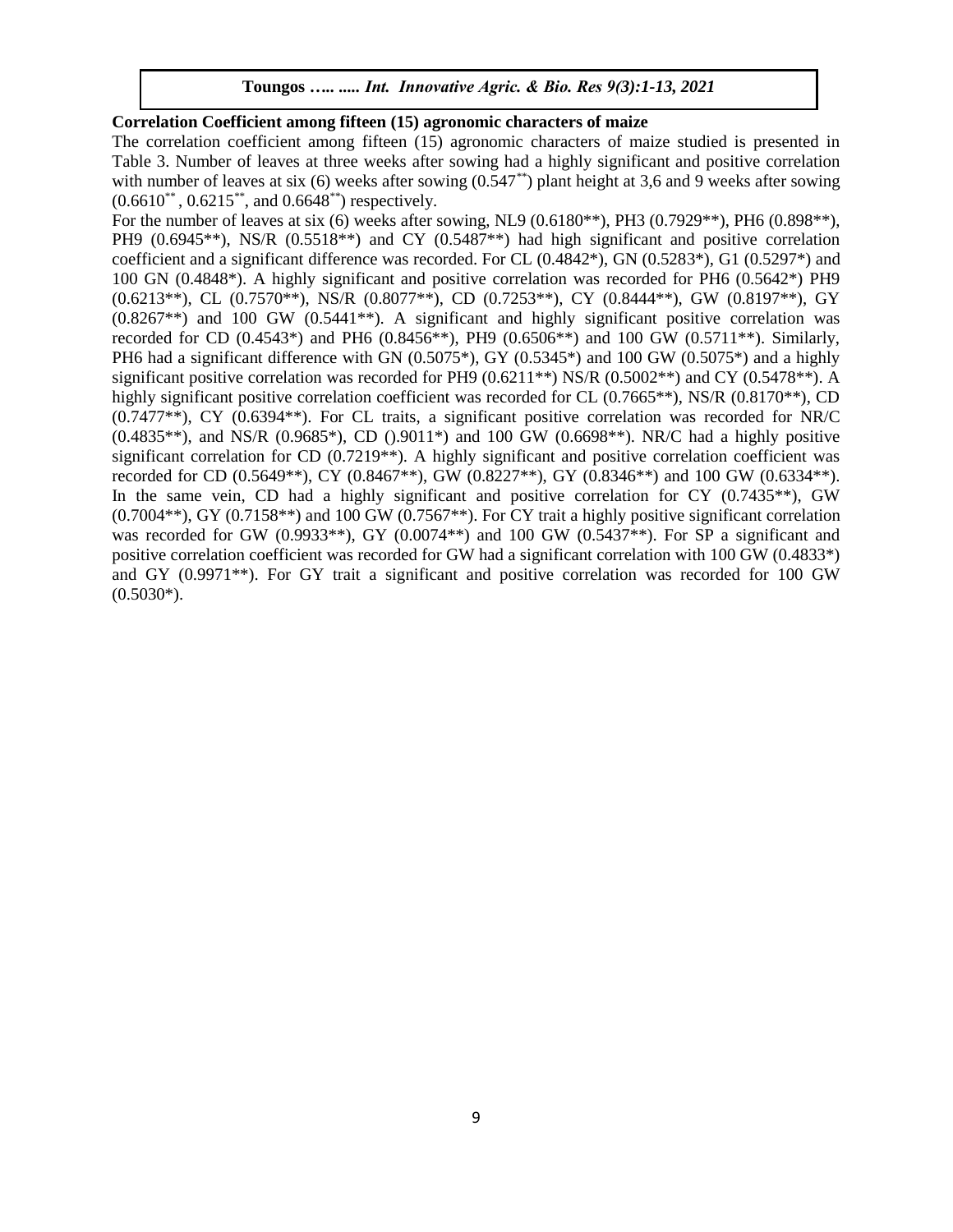# **Correlation Coefficient among fifteen (15) agronomic characters of maize**

The correlation coefficient among fifteen (15) agronomic characters of maize studied is presented in Table 3. Number of leaves at three weeks after sowing had a highly significant and positive correlation with number of leaves at six (6) weeks after sowing  $(0.547^{**})$  plant height at 3,6 and 9 weeks after sowing  $(0.6610^{**}, 0.6215^{**}, \text{ and } 0.6648^{**})$  respectively.

For the number of leaves at six (6) weeks after sowing, NL9 (0.6180\*\*), PH3 (0.7929\*\*), PH6 (0.898\*\*), PH9 (0.6945<sup>\*\*</sup>), NS/R (0.5518<sup>\*\*</sup>) and CY (0.5487<sup>\*\*</sup>) had high significant and positive correlation coefficient and a significant difference was recorded. For CL (0.4842\*), GN (0.5283\*), G1 (0.5297\*) and 100 GN (0.4848\*). A highly significant and positive correlation was recorded for PH6 (0.5642\*) PH9 (0.6213\*\*), CL (0.7570\*\*), NS/R (0.8077\*\*), CD (0.7253\*\*), CY (0.8444\*\*), GW (0.8197\*\*), GY  $(0.8267**)$  and 100 GW  $(0.5441**)$ . A significant and highly significant positive correlation was recorded for CD (0.4543\*) and PH6 (0.8456\*\*), PH9 (0.6506\*\*) and 100 GW (0.5711\*\*). Similarly, PH6 had a significant difference with GN  $(0.5075^*)$ , GY  $(0.5345^*)$  and 100 GW  $(0.5075^*)$  and a highly significant positive correlation was recorded for PH9 (0.6211\*\*) NS/R (0.5002\*\*) and CY (0.5478\*\*). A highly significant positive correlation coefficient was recorded for CL (0.7665<sup>\*\*</sup>), NS/R (0.8170<sup>\*\*</sup>), CD (0.7477\*\*), CY (0.6394\*\*). For CL traits, a significant positive correlation was recorded for NR/C  $(0.4835^{**})$ , and NS/R  $(0.9685^*)$ , CD  $(0.9011^*)$  and 100 GW  $(0.6698^{**})$ . NR/C had a highly positive significant correlation for CD (0.7219\*\*). A highly significant and positive correlation coefficient was recorded for CD (0.5649\*\*), CY (0.8467\*\*), GW (0.8227\*\*), GY (0.8346\*\*) and 100 GW (0.6334\*\*). In the same vein, CD had a highly significant and positive correlation for CY  $(0.7435**)$ , GW  $(0.7004**)$ , GY  $(0.7158**)$  and 100 GW  $(0.7567**)$ . For CY trait a highly positive significant correlation was recorded for GW (0.9933\*\*), GY (0.0074\*\*) and 100 GW (0.5437\*\*). For SP a significant and positive correlation coefficient was recorded for GW had a significant correlation with 100 GW (0.4833\*) and GY (0.9971\*\*). For GY trait a significant and positive correlation was recorded for 100 GW  $(0.5030^*)$ .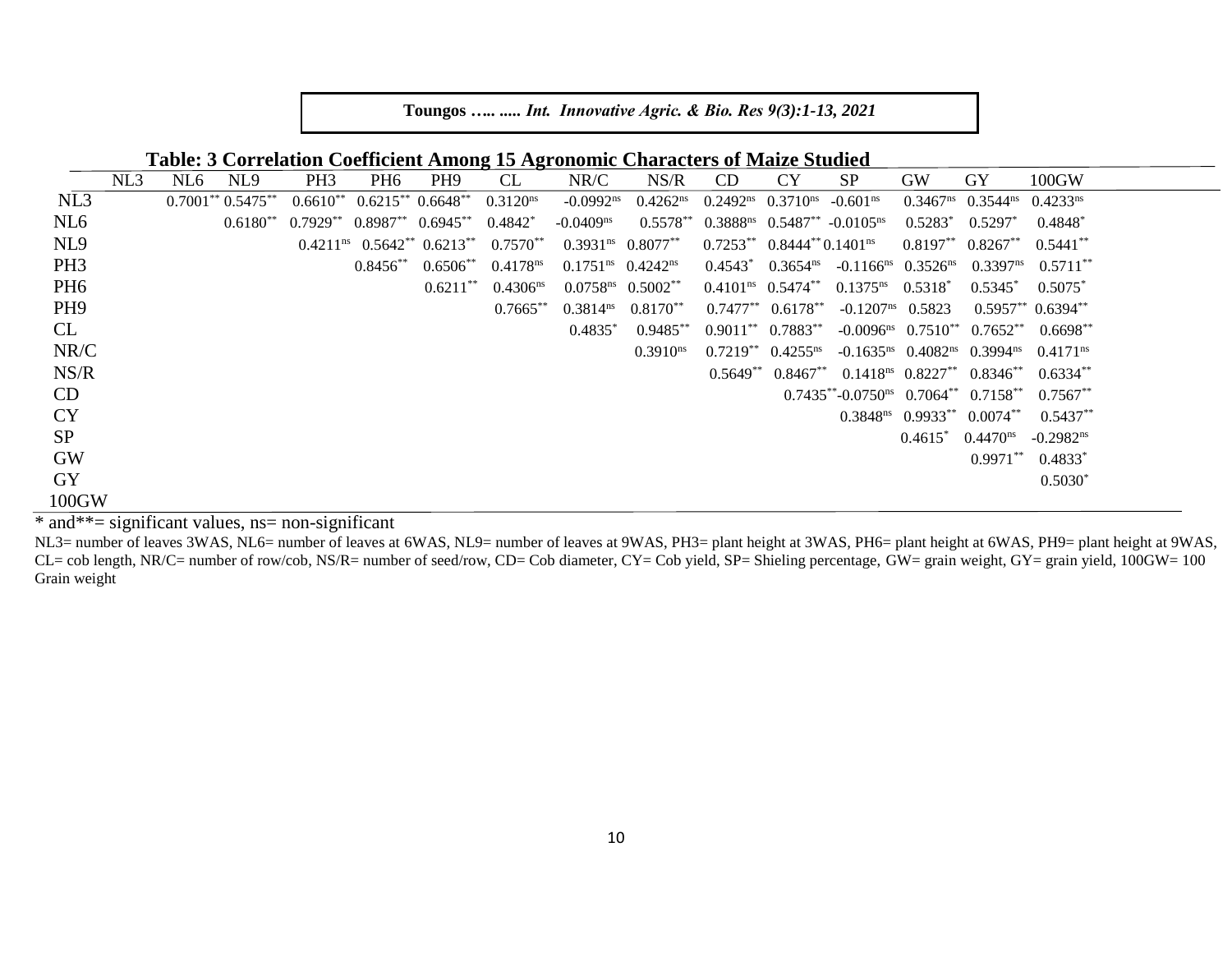**Table: 3 Correlation Coefficient Among 15 Agronomic Characters of Maize Studied**

|                 | NL3 | NL6 | NL <sub>9</sub>             | PH <sub>3</sub> | PH <sub>6</sub>     | PH <sub>9</sub>                           | <b>CL</b>            | NR/C                                          | NS/R                        | CD                                       | <b>CY</b>                          | <b>SP</b>                                                                  | <b>GW</b>                       | GY                                                              | 100GW                       |
|-----------------|-----|-----|-----------------------------|-----------------|---------------------|-------------------------------------------|----------------------|-----------------------------------------------|-----------------------------|------------------------------------------|------------------------------------|----------------------------------------------------------------------------|---------------------------------|-----------------------------------------------------------------|-----------------------------|
| NL3             |     |     | $0.7001^{**}$ $0.5475^{**}$ | $0.6610**$      |                     | $0.6215**0.6648**$                        | 0.3120 <sup>ns</sup> | $-0.0992$ <sup>ns</sup>                       | 0.4262 <sup>ns</sup>        |                                          | $0.2492^{ns}$ $0.3710^{ns}$        | $-0.601ns$                                                                 |                                 | $0.3467ns$ 0.3544 <sup>ns</sup> 0.4233 <sup>ns</sup>            |                             |
| NL <sub>6</sub> |     |     | $0.6180**$                  | $0.7929**$      | $0.8987**$ 0.6945** |                                           | $0.4842*$            | $-0.0409$ <sup>ns</sup>                       | $0.5578**$                  |                                          |                                    | $0.3888^{ns}$ $0.5487^{**}$ -0.0105 <sup>ns</sup>                          | $0.5283*$                       | $0.5297^*$                                                      | 0.4848                      |
| NL <sub>9</sub> |     |     |                             |                 |                     | $0.4211^{ns}$ $0.5642^{**}$ $0.6213^{**}$ | $0.7570**$           | $0.3931^{ns}$ $0.8077^{**}$                   |                             | $0.7253**$ 0.8444** 0.1401 <sup>ns</sup> |                                    |                                                                            |                                 | $0.8197**$ $0.8267**$                                           | $0.5441**$                  |
| PH <sub>3</sub> |     |     |                             |                 | $0.8456**$          | $0.6506**$                                | 0.4178 <sup>ns</sup> | $0.1751ns$ 0.4242 <sup>ns</sup>               |                             |                                          |                                    | $0.4543^*$ $0.3654^{\text{ns}}$ $-0.1166^{\text{ns}}$ $0.3526^{\text{ns}}$ |                                 | $0.3397^{ns}$                                                   | $0.5711***$                 |
| PH <sub>6</sub> |     |     |                             |                 |                     | $0.6211**$                                | 0.4306 <sup>ns</sup> | $0.0758$ <sup>ns</sup> $0.5002$ <sup>**</sup> |                             |                                          | $0.4101ns$ 0.5474 <sup>**</sup>    | $0.1375^{ns}$ $0.5318^*$                                                   |                                 | $0.5345^*$                                                      | $0.5075^*$                  |
| PH <sub>9</sub> |     |     |                             |                 |                     |                                           | $0.7665**$           |                                               | $0.3814^{ns}$ $0.8170^{**}$ |                                          | $0.7477**$ 0.6178**                |                                                                            | $-0.1207ns$ 0.5823              |                                                                 | $0.5957^{**}$ $0.6394^{**}$ |
| CL              |     |     |                             |                 |                     |                                           |                      | $0.4835*$                                     | $0.9485**$                  |                                          | $0.9011^{**}$ $0.7883^{**}$        |                                                                            |                                 | $-0.0096^{\text{ns}}$ $0.7510^{\text{**}}$ $0.7652^{\text{**}}$ | $0.6698**$                  |
| NR/C            |     |     |                             |                 |                     |                                           |                      |                                               | $0.3910^{\text{ns}}$        |                                          | $0.7219^{**}$ 0.4255 <sup>ns</sup> |                                                                            |                                 | $-0.1635^{ns}$ 0.4082 <sup>ns</sup> 0.3994 <sup>ns</sup>        | $0.4171$ <sup>ns</sup>      |
| NS/R            |     |     |                             |                 |                     |                                           |                      |                                               |                             | $0.5649**$                               | $0.8467**$                         |                                                                            | $0.1418ns$ 0.8227 <sup>**</sup> | $0.8346**$                                                      | $0.6334**$                  |
| CD              |     |     |                             |                 |                     |                                           |                      |                                               |                             |                                          |                                    | $0.7435^{**} - 0.0750^{ns}$ $0.7064^{**}$ $0.7158^{**}$                    |                                 |                                                                 | $0.7567**$                  |
| <b>CY</b>       |     |     |                             |                 |                     |                                           |                      |                                               |                             |                                          |                                    |                                                                            |                                 | $0.3848^{\text{ns}}$ $0.9933^{\text{**}}$ $0.0074^{\text{**}}$  | $0.5437**$                  |
| <b>SP</b>       |     |     |                             |                 |                     |                                           |                      |                                               |                             |                                          |                                    |                                                                            | $0.4615^*$                      | 0.4470 <sup>ns</sup>                                            | $-0.2982$ <sup>ns</sup>     |
| <b>GW</b>       |     |     |                             |                 |                     |                                           |                      |                                               |                             |                                          |                                    |                                                                            |                                 | $0.9971***$                                                     | $0.4833*$                   |
| <b>GY</b>       |     |     |                             |                 |                     |                                           |                      |                                               |                             |                                          |                                    |                                                                            |                                 |                                                                 | $0.5030*$                   |
| 100GW           |     |     |                             |                 |                     |                                           |                      |                                               |                             |                                          |                                    |                                                                            |                                 |                                                                 |                             |

\* and\*\*= significant values, ns= non-significant

NL3= number of leaves 3WAS, NL6= number of leaves at 6WAS, NL9= number of leaves at 9WAS, PH3= plant height at 3WAS, PH6= plant height at 6WAS, PH9= plant height at 9WAS, CL= cob length, NR/C= number of row/cob, NS/R= number of seed/row, CD= Cob diameter, CY= Cob yield, SP= Shieling percentage, GW= grain weight, GY= grain yield, 100GW= 100 Grain weight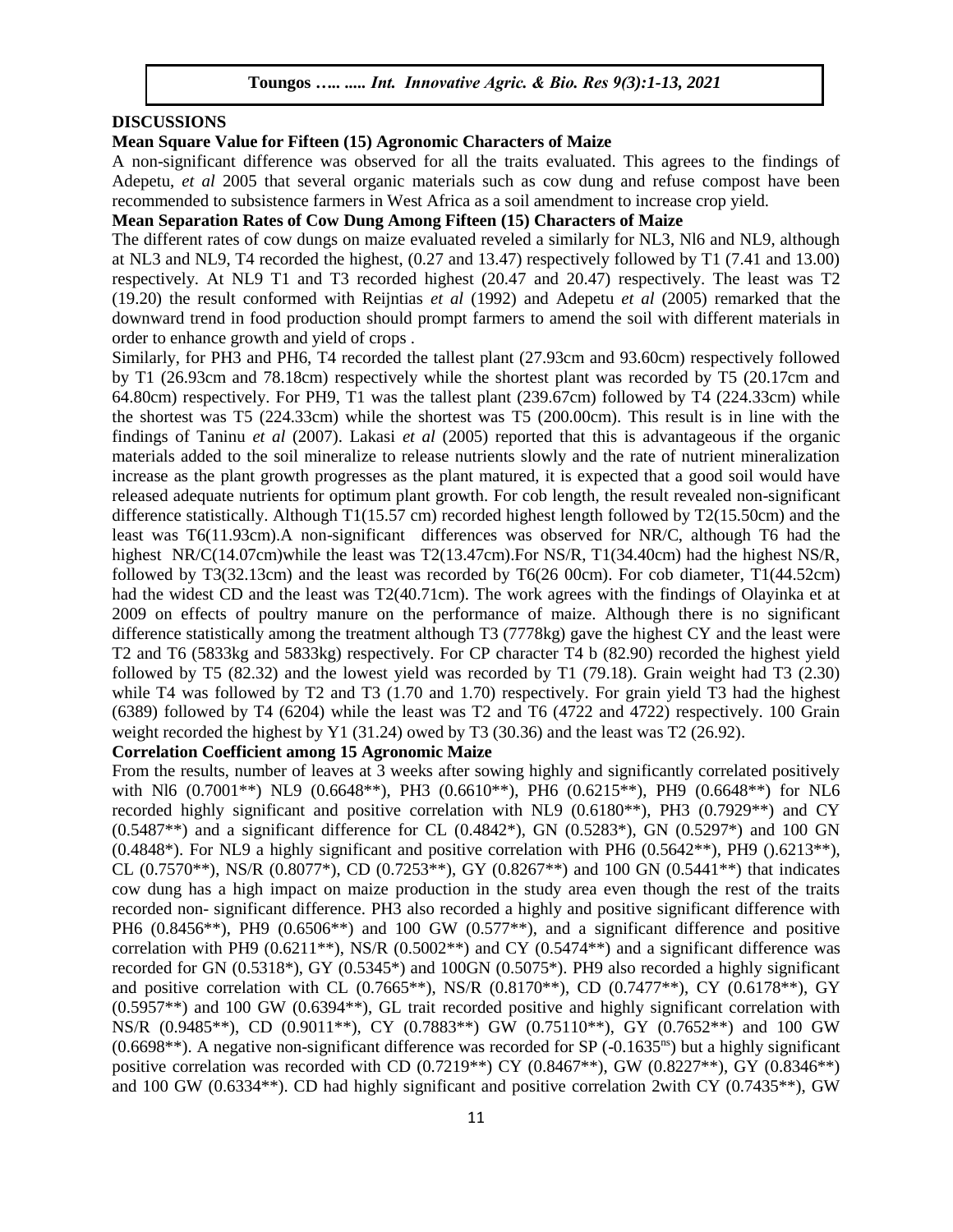## **DISCUSSIONS**

#### **Mean Square Value for Fifteen (15) Agronomic Characters of Maize**

A non-significant difference was observed for all the traits evaluated. This agrees to the findings of Adepetu, *et al* 2005 that several organic materials such as cow dung and refuse compost have been recommended to subsistence farmers in West Africa as a soil amendment to increase crop yield.

## **Mean Separation Rates of Cow Dung Among Fifteen (15) Characters of Maize**

The different rates of cow dungs on maize evaluated reveled a similarly for NL3, Nl6 and NL9, although at NL3 and NL9, T4 recorded the highest, (0.27 and 13.47) respectively followed by T1 (7.41 and 13.00) respectively. At NL9 T1 and T3 recorded highest (20.47 and 20.47) respectively. The least was T2 (19.20) the result conformed with Reijntias *et al* (1992) and Adepetu *et al* (2005) remarked that the downward trend in food production should prompt farmers to amend the soil with different materials in order to enhance growth and yield of crops .

Similarly, for PH3 and PH6, T4 recorded the tallest plant (27.93cm and 93.60cm) respectively followed by T1 (26.93cm and 78.18cm) respectively while the shortest plant was recorded by T5 (20.17cm and 64.80cm) respectively. For PH9, T1 was the tallest plant (239.67cm) followed by T4 (224.33cm) while the shortest was T5 (224.33cm) while the shortest was T5 (200.00cm). This result is in line with the findings of Taninu *et al* (2007). Lakasi *et al* (2005) reported that this is advantageous if the organic materials added to the soil mineralize to release nutrients slowly and the rate of nutrient mineralization increase as the plant growth progresses as the plant matured, it is expected that a good soil would have released adequate nutrients for optimum plant growth. For cob length, the result revealed non-significant difference statistically. Although T1(15.57 cm) recorded highest length followed by T2(15.50cm) and the least was T6(11.93cm).A non-significant differences was observed for NR/C, although T6 had the highest NR/C(14.07cm)while the least was T2(13.47cm). For NS/R, T1(34.40cm) had the highest NS/R, followed by T3(32.13cm) and the least was recorded by T6(26 00cm). For cob diameter, T1(44.52cm) had the widest CD and the least was T2(40.71cm). The work agrees with the findings of Olayinka et at 2009 on effects of poultry manure on the performance of maize. Although there is no significant difference statistically among the treatment although T3 (7778kg) gave the highest CY and the least were T2 and T6 (5833kg and 5833kg) respectively. For CP character T4 b (82.90) recorded the highest yield followed by T5 (82.32) and the lowest yield was recorded by T1 (79.18). Grain weight had T3 (2.30) while T4 was followed by T2 and T3 (1.70 and 1.70) respectively. For grain yield T3 had the highest (6389) followed by T4 (6204) while the least was T2 and T6 (4722 and 4722) respectively. 100 Grain weight recorded the highest by Y1 (31.24) owed by T3 (30.36) and the least was T2 (26.92).

#### **Correlation Coefficient among 15 Agronomic Maize**

From the results, number of leaves at 3 weeks after sowing highly and significantly correlated positively with Nl6 (0.7001<sup>\*\*</sup>) NL9 (0.6648<sup>\*\*</sup>), PH3 (0.6610<sup>\*\*</sup>), PH6 (0.6215<sup>\*\*</sup>), PH9 (0.6648<sup>\*\*</sup>) for NL6 recorded highly significant and positive correlation with NL9 (0.6180\*\*), PH3 (0.7929\*\*) and CY (0.5487\*\*) and a significant difference for CL (0.4842\*), GN (0.5283\*), GN (0.5297\*) and 100 GN  $(0.4848^*)$ . For NL9 a highly significant and positive correlation with PH6  $(0.5642^{**})$ , PH9  $(0.6213^{**})$ , CL (0.7570\*\*), NS/R (0.8077\*), CD (0.7253\*\*), GY (0.8267\*\*) and 100 GN (0.5441\*\*) that indicates cow dung has a high impact on maize production in the study area even though the rest of the traits recorded non- significant difference. PH3 also recorded a highly and positive significant difference with PH6  $(0.8456**)$ , PH9  $(0.6506**)$  and 100 GW  $(0.577**)$ , and a significant difference and positive correlation with PH9 (0.6211\*\*), NS/R (0.5002\*\*) and CY (0.5474\*\*) and a significant difference was recorded for GN (0.5318\*), GY (0.5345\*) and 100GN (0.5075\*). PH9 also recorded a highly significant and positive correlation with CL (0.7665\*\*), NS/R (0.8170\*\*), CD (0.7477\*\*), CY (0.6178\*\*), GY (0.5957\*\*) and 100 GW (0.6394\*\*), GL trait recorded positive and highly significant correlation with NS/R (0.9485\*\*), CD (0.9011\*\*), CY (0.7883\*\*) GW (0.75110\*\*), GY (0.7652\*\*) and 100 GW  $(0.6698**)$ . A negative non-significant difference was recorded for SP  $(-0.1635<sup>ns</sup>)$  but a highly significant positive correlation was recorded with CD  $(0.7219**)$  CY  $(0.8467**)$ , GW  $(0.8227**)$ , GY  $(0.8346**)$ and 100 GW (0.6334\*\*). CD had highly significant and positive correlation 2with CY (0.7435\*\*), GW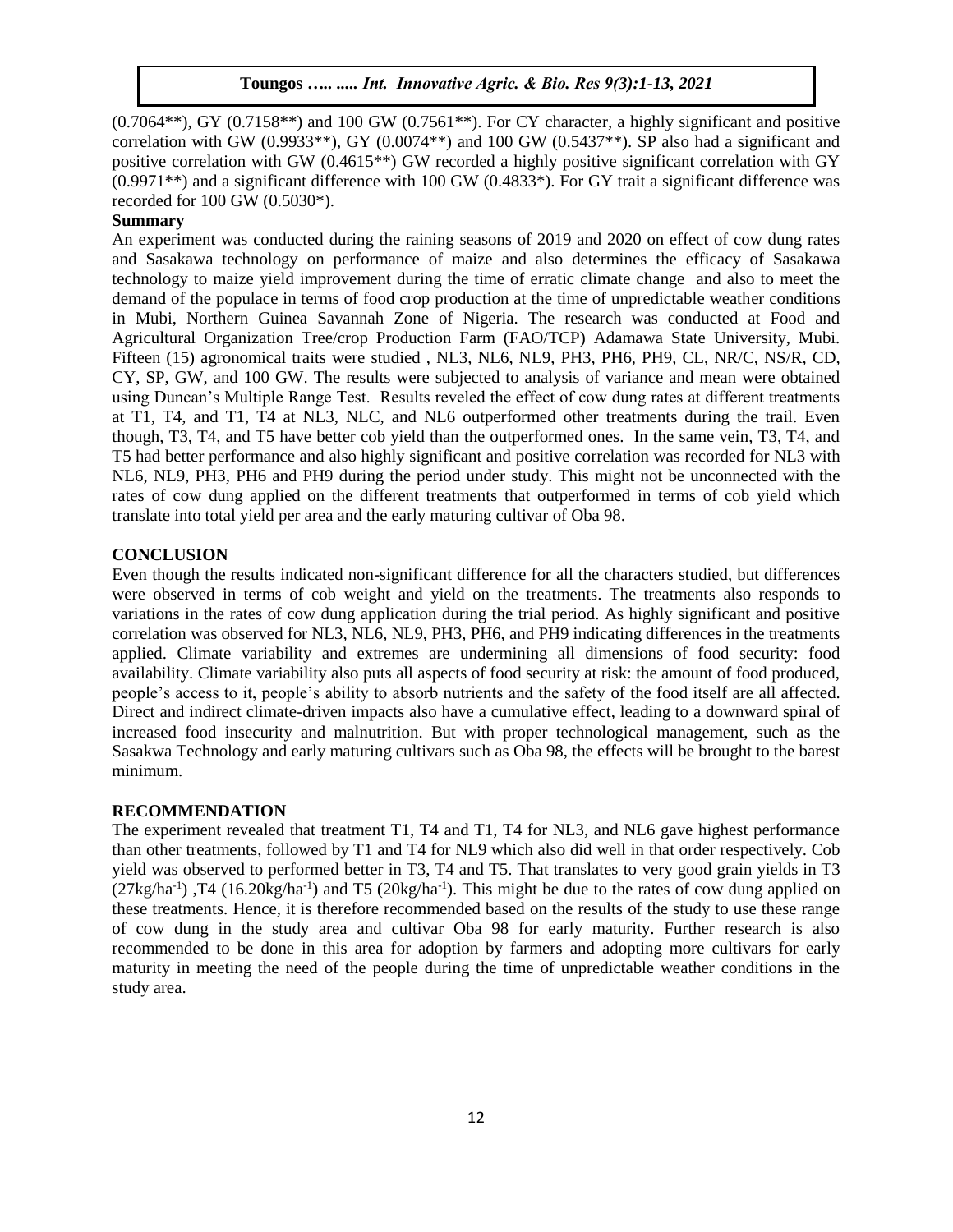$(0.7064**)$ , GY  $(0.7158**)$  and 100 GW  $(0.7561**)$ . For CY character, a highly significant and positive correlation with GW (0.9933\*\*), GY (0.0074\*\*) and 100 GW (0.5437\*\*). SP also had a significant and positive correlation with GW (0.4615\*\*) GW recorded a highly positive significant correlation with GY  $(0.9971^{**})$  and a significant difference with 100 GW  $(0.4833^*)$ . For GY trait a significant difference was recorded for 100 GW (0.5030\*).

#### **Summary**

An experiment was conducted during the raining seasons of 2019 and 2020 on effect of cow dung rates and Sasakawa technology on performance of maize and also determines the efficacy of Sasakawa technology to maize yield improvement during the time of erratic climate change and also to meet the demand of the populace in terms of food crop production at the time of unpredictable weather conditions in Mubi, Northern Guinea Savannah Zone of Nigeria. The research was conducted at Food and Agricultural Organization Tree/crop Production Farm (FAO/TCP) Adamawa State University, Mubi. Fifteen (15) agronomical traits were studied , NL3, NL6, NL9, PH3, PH6, PH9, CL, NR/C, NS/R, CD, CY, SP, GW, and 100 GW. The results were subjected to analysis of variance and mean were obtained using Duncan's Multiple Range Test. Results reveled the effect of cow dung rates at different treatments at T1, T4, and T1, T4 at NL3, NLC, and NL6 outperformed other treatments during the trail. Even though, T3, T4, and T5 have better cob yield than the outperformed ones. In the same vein, T3, T4, and T5 had better performance and also highly significant and positive correlation was recorded for NL3 with NL6, NL9, PH3, PH6 and PH9 during the period under study. This might not be unconnected with the rates of cow dung applied on the different treatments that outperformed in terms of cob yield which translate into total yield per area and the early maturing cultivar of Oba 98.

# **CONCLUSION**

Even though the results indicated non-significant difference for all the characters studied, but differences were observed in terms of cob weight and yield on the treatments. The treatments also responds to variations in the rates of cow dung application during the trial period. As highly significant and positive correlation was observed for NL3, NL6, NL9, PH3, PH6, and PH9 indicating differences in the treatments applied. Climate variability and extremes are undermining all dimensions of food security: food availability. Climate variability also puts all aspects of food security at risk: the amount of food produced, people's access to it, people's ability to absorb nutrients and the safety of the food itself are all affected. Direct and indirect climate-driven impacts also have a cumulative effect, leading to a downward spiral of increased food insecurity and malnutrition. But with proper technological management, such as the Sasakwa Technology and early maturing cultivars such as Oba 98, the effects will be brought to the barest minimum.

#### **RECOMMENDATION**

The experiment revealed that treatment T1, T4 and T1, T4 for NL3, and NL6 gave highest performance than other treatments, followed by T1 and T4 for NL9 which also did well in that order respectively. Cob yield was observed to performed better in T3, T4 and T5. That translates to very good grain yields in T3  $(27\text{kg/ha}^{-1})$ , T4  $(16.20\text{kg/ha}^{-1})$  and T5  $(20\text{kg/ha}^{-1})$ . This might be due to the rates of cow dung applied on these treatments. Hence, it is therefore recommended based on the results of the study to use these range of cow dung in the study area and cultivar Oba 98 for early maturity. Further research is also recommended to be done in this area for adoption by farmers and adopting more cultivars for early maturity in meeting the need of the people during the time of unpredictable weather conditions in the study area.